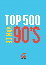

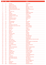| 2016           | 2015            | <b>Titel</b>                      | <b>Artiest</b>                  |
|----------------|-----------------|-----------------------------------|---------------------------------|
|                |                 |                                   |                                 |
| 1              | 4               | Insomnia                          | <b>FAITHLESS</b>                |
| $\overline{2}$ | $\overline{5}$  | <b>Thunderstruck</b>              | AC/DC                           |
| 3              | $\mathbf{1}$    | <b>Rhythm Is A Dancer</b>         | <b>SNAP</b>                     |
| 4              | 10              | <b>Baby One More Time</b>         | <b>BRITNEY SPEARS</b>           |
| 5              | 9               | <b>Smells Like Teen Spirit</b>    | <b>NIRVANA</b>                  |
| 6              | 15              | Everybody (Backstreet's Back)     | <b>BACKSTREET BOYS</b>          |
| 7              | 2               | Mia                               | <b>GORKI</b>                    |
| 8              | 24              | <b>Show Me Love</b>               | <b>ROBIN S</b>                  |
| 9              | 11              | Angels                            | <b>ROBBIE WILLIAMS</b>          |
| 10             | 3               | Wannabe                           | <b>SPICE GIRLS</b>              |
| 11             | 12              | <b>Gangsta's Paradise</b>         | <b>COOLIO</b>                   |
| 12             | 21              | <b>Afscheid Van Een Vriend</b>    | <b>CLOUSEAU</b>                 |
| 13             | $6\phantom{1}6$ | <b>No Limit</b>                   | <b>2 UNLIMITED</b>              |
| 14             | 19              | <b>Nothing Else Matters</b>       | <b>METALLICA</b>                |
| 15             | 13              | <b>Freed From Desire</b>          | <b>GALA</b>                     |
| 16             | $\overline{7}$  | One                               | U <sub>2</sub>                  |
| 17             | 33              | Sing Hallelujah!                  | <b>DR ALBAN</b>                 |
| 18             | 23              | Nobody's Wife                     | <b>ANOUK</b>                    |
| 19             | 30              | Frozen                            | <b>MADONNA</b>                  |
| 20             | 31              | How Much Is The Fish?             | <b>SCOOTER</b>                  |
| 21             | 17              | (Everything I Do) I Do It For You | <b>BRYAN ADAMS</b>              |
| 22             | 28              | Mr. Vain                          | <b>CULTURE BEAT</b>             |
| 23             | 47              | Wonderwall                        | <b>OASIS</b>                    |
| 24             | 8               | Lift U Up                         | 2 FABIOLA                       |
| 25             | 32              | <b>Always</b>                     | <b>BON JOVI</b>                 |
| 26             | 36              | <b>Barbie Girl</b>                | <b>AQUA</b>                     |
| 27             | 14              | <b>Narcotic</b>                   | <b>LIQUIDO</b>                  |
| 28             | 43              | <b>Killing Me Softly</b>          | <b>FUGEES</b>                   |
| 29             | 18              | In My Eyes                        | <b>MILK INC</b>                 |
| 30             | 66              | Zombie                            | <b>CRANBERRIES</b>              |
| 31             | 57              | <b>Macarena</b>                   | <b>LOS DEL RIO</b>              |
| 32             | 64              | Creep                             | <b>RADIOHEAD</b>                |
| 33             | 69              | <b>Never Alone</b>                | 2 BROTHERS ON THE 4th FLOOR     |
| 34             | 60              | <b>She Goes Nana</b>              | <b>RADIOS</b>                   |
| 35             | 80              | Killing In The Name               | <b>RAGE AGAINST THE MACHINE</b> |
| 36             | 78              | <b>What Is Love</b>               | <b>HADDAWAY</b>                 |
| 37             | 45              | <b>Don't Speak</b>                | <b>NO DOUBT</b>                 |
| 38             | 55              | Dromen Zijn Bedrog                | <b>MARCO BORSATO</b>            |
| 39             | 16              | <b>Afflitto</b>                   | <b>FIOCCO</b>                   |
| 40             | 27              | <b>Streets Of Philadelphia</b>    | <b>BRUCE SPRINGSTEEN</b>        |
| 41             | 22              | <b>Take My Love</b>               | <b>GOOD SHAPE</b>               |
| 42             | 99              | <b>Alive</b>                      | <b>PEARL JAM</b>                |
| 43             | 59              | Casanova                          | <b>ULTIMATE KAOS</b>            |
| 44             | 37              | <b>November Rain</b>              | <b>GUNS 'N' ROSES</b>           |
| 45             | 50              | Captain Jack                      | <b>CAPTAIN JACK</b>             |
| 46             | 90              | Daar Gaat Ze                      | <b>CLOUSEAU</b>                 |
| 47             | 49              | <b>Ironic</b>                     | <b>ALANIS MORISSETTE</b>        |
| 48             | 26              | On And On                         | <b>X-SESSION</b>                |
| 49             | 79              | I Will Always Love You            | <b>WHITNEY HOUSTON</b>          |
| 50             | 53              | <b>Bitter Sweet Symphony</b>      | THE VERVE                       |
| 51             | 29              | <b>Diep</b>                       | <b>GET READY!</b>               |
| 52             | 77              | <b>Torn</b>                       | <b>NATALIE IMBRUGLIA</b>        |
| 53             | 34              | <b>Virtual Zone</b>               | <b>VIRTUAL ZONE</b>             |
| 54             | 25              | <b>Mmmbop</b>                     | <b>HANSON</b>                   |
| 55             | 106             | <b>Unfinished Sympathy</b>        | <b>MASSIVE ATTACK</b>           |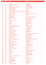| 2016      | 2015       | <b>Titel</b>                                   | <b>Artiest</b>                                |
|-----------|------------|------------------------------------------------|-----------------------------------------------|
|           |            |                                                |                                               |
| 56        | 71         | <b>Bailando</b>                                | <b>PARADISIO</b>                              |
| 57        | 51         | I Don't Want To Miss A Thing                   | <b>AEROSMITH</b>                              |
| 58        | 20         | Jump For Joy                                   | <b>2 UNLIMITED</b>                            |
| 59        | 41         | Pretty Fly (For A White Guy)                   | THE OFFSPRING                                 |
| 60        | 105        | <b>Black Or White</b>                          | <b>MICHAEL JACKSON</b>                        |
| 61        | 68         | <b>Losing My Religion</b>                      | <b>REM</b>                                    |
| 62        | 54         | Samba De Janeiro                               | <b>BELLINI</b>                                |
| 63        | 88         | I'd Do Anything For Love (But I Won't Do That) | <b>MEAT LOAF</b>                              |
| 64        | 44         | <b>Encore Une Fois</b>                         | <b>SASH</b>                                   |
| 65        | 72         | <b>Under The Bridge</b>                        | <b>RED HOT CHILI PEPPERS</b>                  |
| 66        | 52         | <b>Cotton Eye Joe</b>                          | <b>REDNEX</b>                                 |
| 67        | 93         | The Dolphin's Cry                              | <b>LIVE</b>                                   |
| 68        | 114        | A Good Day                                     | <b>NATURAL BORN DEEJAYS</b>                   |
| 69<br>70  | 109<br>118 | My Heart Will Go On<br><b>Killer</b>           | <b>CELINE DION</b><br><b>ADAMSKI and SEAL</b> |
| 71        | 40         | <b>Take Me For A Ride</b>                      | <b>ALANA DANTE</b>                            |
| 72        | 126        | No Good                                        | <b>THE PRODIGY</b>                            |
| 73        | 35         | Ik Wil Je                                      | <b>KREUNERS</b>                               |
| 74        | 133        | Children                                       | <b>ROBERT MILES</b>                           |
| 75        | 42         | 5, 6, 7, 8                                     | <b>STEPS</b>                                  |
| 76        | 83         | When You Say Nothing At All                    | <b>RONAN KEATING</b>                          |
| 77        | 127        | We Like To Party                               | <b>VENGABOYS</b>                              |
| 78        | 156        | <b>Born Slippy</b>                             | <b>UNDERWORLD</b>                             |
| 79        | 58         | Nobelprijs                                     | <b>CLOUSEAU</b>                               |
| 80        | 110        | <b>Around The World</b>                        | <b>DAFT PUNK</b>                              |
| 81        | 192        | I'll Be There For You                          | <b>REMBRANDTS</b>                             |
| 82        | 75         | <b>Open Sesame</b>                             | <b>LEILAK</b>                                 |
| 83        | 62         | I'll Be Missing You                            | PUFF DADDY and FAITH EVANS                    |
| 84        | 100        | Maria (Un, Dos, Tres)                          | <b>RICKY MARTIN</b>                           |
| 85        | 150        | Candle In The Wind '97                         | <b>ELTON JOHN</b>                             |
| 86        | 146        | Spaceman                                       | <b>BABYLON ZOO</b>                            |
| 87        | 135        | <b>U Can't Touch This</b>                      | <b>MC HAMMER</b>                              |
| 88        | 104        | <b>Where The Wild Roses Grow</b>               | <b>NICK CAVE &amp; KYLIE MINOGUE</b>          |
| 89        | 158        | Vogue                                          | <b>MADONNA</b>                                |
| 90        | 125        | Let Me Entertain You                           | <b>ROBBIE WILLIAMS</b>                        |
| 91        | 67         | God Is A Dj                                    | <b>FAITHLESS</b>                              |
| 92        | 70         | Wind Of Change                                 | <b>SCORPIONS</b>                              |
| 93        | 39         | They Don't Care About Us                       | <b>MICHAEL JACKSON</b>                        |
| 94        | 84         | <b>Two Princes</b>                             | <b>SPIN DOCTORS</b>                           |
| 95        | 154        | Ice Ice Baby                                   | <b>VANILLA ICE</b>                            |
| 96        | 46         | It's Gonna Be Alright                          | <b>DEEP ZONE</b>                              |
| 97        | 136        | Song <sub>2</sub>                              | <b>BLUR</b>                                   |
| 98        | 82         | <b>Fired Up!</b>                               | <b>FUNKY GREEN DOGS</b>                       |
| 99<br>100 | 119<br>38  | What's Up?<br><b>Freak Out</b>                 | <b>4 NON BLONDES</b><br>2 FABIOLA             |
| 101       | 76         | <b>Scatman</b>                                 | <b>SCATMAN JOHN</b>                           |
| 102       | 86         | <b>Iris</b>                                    | <b>GOO GOO DOLLS</b>                          |
| 103       | 85         | Everybody's Free (To Feel Good)                | <b>ROZALLA</b>                                |
| 104       | 161        | Changes                                        | 2PAC                                          |
| 105       | 65         | It's Ok, It's Allright                         | <b>DEF DAMES DOPE</b>                         |
| 106       | 95         | <b>Bed Of Roses</b>                            | <b>BON JOVI</b>                               |
| 107       | 98         | <b>All That She Wants</b>                      | <b>ACE OF BASE</b>                            |
| 108       | 56         | <b>Plastic Dreams</b>                          | <b>JAYDEE</b>                                 |
| 109       | 147        | Domino                                         | <b>CLOUSEAU</b>                               |
| 110       | 101        | Don't You Want Me                              | <b>FELIX</b>                                  |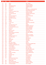| 2016       | 2015           | <b>Titel</b>                                  | <b>Artiest</b>                         |
|------------|----------------|-----------------------------------------------|----------------------------------------|
|            |                |                                               |                                        |
| 111        | 151            | Miami                                         | <b>WILL SMITH</b>                      |
| 112        | 204            | Weak                                          | <b>SKUNK ANANSIE</b>                   |
| 113        | 145            | <b>Truly Madly Deeply</b>                     | <b>SAVAGE GARDEN</b>                   |
| 114        | 167            | Kernkraft 400                                 | <b>ZOMBIE NATION</b>                   |
| 115        | 81             | Alane                                         | <b>WES</b>                             |
| 116        | 143            | It's Like That                                | <b>RUN DMC vs JASON NEVINS</b>         |
| 117        | 73             | Innocence                                     | <b>MACKENZIE and JESSY</b>             |
| 118        | 74             | Knockin' On Heaven's Door                     | <b>GUNS 'N' ROSES</b>                  |
| 119        | 174            | <b>Jump Around</b>                            | <b>HOUSE OF PAIN</b>                   |
| 120        | 112            | You Don't Know Me                             | <b>ARMAND VAN HELDEN</b>               |
| 121        | 91             | <b>Diane</b>                                  | <b>THERAPY?</b>                        |
| 122        | 89             | <b>Push The Feeling On</b>                    | <b>NIGHTCRAWLERS</b>                   |
| 123        | 138            | <b>Everybody Hurts</b>                        | <b>REM</b>                             |
| 124        | 116            | <b>Feel What You Want</b>                     | <b>KRISTINE W</b>                      |
| 125        | 121            | <b>Blauw</b>                                  | THE SCENE                              |
| 126        | 207            | <b>Outside</b>                                | <b>GEORGE MICHAEL</b>                  |
| 127        | 92             | <b>Simarik</b>                                | <b>TARKAN</b>                          |
| 128        | 108            | I Like It Loud                                | <b>MARSHALL MASTERS</b>                |
| 129        | 199            | Crazy                                         | <b>SEAL</b>                            |
| 130        | 213            | The Show Must Go On                           | <b>QUEEN</b>                           |
| 131        | 61             | King Of My Castle                             | <b>WAMDUE PROJECT</b>                  |
| 132        | 275            | Ik Leef Niet Meer Voor Jou                    | <b>MARCO BORSATO</b>                   |
| 133        | 97             | One Of Us                                     | <b>JOAN OSBORNE</b>                    |
| 134        | 87             | Knockin'                                      | <b>DOUBLE VISION</b>                   |
| 135        | 123            | <b>Back For Good</b>                          | <b>TAKE THAT</b>                       |
| 136        | 197            | <b>Self Esteem</b>                            | THE OFFSPRING                          |
| 137        | 122            | Gypsy Woman (La Da Dee)                       | <b>CRYSTAL WATERS</b>                  |
| 138        | 155            | <b>Suicide Blonde</b>                         | <b>INXS</b>                            |
| 139        | 124            | <b>Crucified</b>                              | <b>ARMY OF LOVERS</b>                  |
| 140        | 128            | <b>Nothing Compares 2 U</b>                   | <b>SINEAD O'CONNOR</b>                 |
| 141        | 96             | It's A Rainy Day                              | <b>ICE MC</b>                          |
| 142        | 195            | Jump                                          | <b>KRIS KROSS</b>                      |
| 143        | 131            | <b>Sing It Back</b>                           | <b>MOLOKO</b>                          |
| 144        | 181            | <b>Afscheid</b>                               | <b>VOLUMIA!</b>                        |
| 145        | 190            | <b>Believe</b>                                | <b>CHER</b>                            |
| 146        | 129            | Eins, Zwei, Polizei                           | <b>MODO</b>                            |
| 147        | 117            | <b>Breakfast At Tiffany's</b>                 | <b>DEEP BLUE SOMETHING</b>             |
| 148<br>149 | 183<br>130     | I've Been Thinking About You<br>Not An Addict | <b>LONDONBEAT</b><br><b>K's CHOICE</b> |
| 150        | 94             | I Like To Move It                             | <b>REEL 2 REAL</b>                     |
| 151        | 196            | Love Is All Around                            | <b>WET WET WET</b>                     |
| 152        | 205            | The Bad Touch                                 | <b>BLOODHOUND GANG</b>                 |
| 153        | 113            | Are You Gonna Go My Way                       | <b>LENNY KRAVITZ</b>                   |
| 154        | 139            | Finally                                       | <b>CE CE PENISTON</b>                  |
| 155        | 236            | I Want It That Way                            | <b>BACKSTREET BOYS</b>                 |
| 156        | 173            | Ecuador                                       | <b>SASH!</b>                           |
| 157        | 140            | <b>Runaway Train</b>                          | <b>SOUL ASYLUM</b>                     |
| 158        | 201            | <b>Eisbaer</b>                                | <b>GROOVEZONE</b>                      |
| 159        | 102            | <b>Passie</b>                                 | <b>CLOUSEAU</b>                        |
| 160        | 48             | <b>Boom Boom Boom Boom</b>                    | <b>VENGABOYS</b>                       |
| 161        | $\blacksquare$ | Don't Let Go (Love)                           | <b>EN VOGUE</b>                        |
| 162        | 264            | <b>Basket Case</b>                            | <b>GREEN DAY</b>                       |
| 163        | 224            | You're Still The One                          | <b>SHANIA TWAIN</b>                    |
| 164        | 63             | <b>Power Of American Natives</b>              | <b>DANCE 2 TRANCE</b>                  |
| 165        | 218            | I Promised Myself                             | <b>NICK KAMEN</b>                      |
|            |                |                                               |                                        |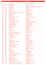| 2016       | 2015       | <b>Titel</b>                                  | <b>Artiest</b>                         |
|------------|------------|-----------------------------------------------|----------------------------------------|
|            |            |                                               |                                        |
| 166        | 184        | <b>Genie In A Bottle</b>                      | <b>CHRISTINA AGUILERA</b>              |
| 167        | 171        | Das Boot                                      | <b>U96</b>                             |
| 168        | 107        | <b>Save Tonight</b>                           | <b>EAGLE-EYE CHERRY</b>                |
| 169        | 237        | <b>Sun Is Shining</b>                         | <b>BOB MARLEY and FUNKSTAR DE LUXE</b> |
| 170        | 188        | <b>Ready Or Not</b>                           | <b>FUGEES</b>                          |
| 171        | 137        | It's My Life                                  | <b>DR ALBAN</b>                        |
| 172        | 166        | <b>Heal The World</b>                         | <b>MICHAEL JACKSON</b>                 |
| 173        | 209        | Lithium                                       | <b>NIRVANA</b>                         |
| 174        | 168        | <b>Ghetto Supastar (That Is What You Are)</b> | <b>PRAS MICHEL</b>                     |
| 175        | 162        | Spice Up Your Life                            | <b>SPICE GIRLS</b>                     |
| 176        | 299        | Tubthumping                                   | <b>CHUMBAWAMBA</b>                     |
| 177        | 134        | <b>Sacrifice</b>                              | <b>ANOUK</b>                           |
| 178        | 175        | <b>Gonna Make You Sweat</b>                   | C and C MUSIC FACTORY                  |
| 179        | 148        | How Do You Do!                                | <b>ROXETTE</b>                         |
| 180        | 103        | Blue (Da Ba Dee)                              | EIFFEL 65                              |
| 181        | 246        | I Can't Dance                                 | <b>GENESIS</b>                         |
| 182        | 149        | Don't Stop (Wiggle, Wiggle)                   | <b>OUTHERE BROTHERS</b>                |
| 183        | 115        | <b>Het Is Een Nacht</b>                       | <b>GUUS MEEUWIS en VAGANT</b>          |
| 184        | 255        | You Get What You Give                         | <b>NEW RADICALS</b>                    |
| 185        | 452        | (You Drive Me) Crazy                          | <b>BRITNEY SPEARS</b>                  |
| 186        | 277        | <b>Tears In Heaven</b>                        | <b>ERIC CLAPTON</b>                    |
| 187        | 256        | There's A Party                               | <b>DJ BOBO</b>                         |
| 188        | 272        | <b>Never Ever</b>                             | <b>ALL SAINTS</b>                      |
| 189        | 177        | Drop It                                       | <b>SCOOP</b>                           |
| 190        | 317        | You Oughta Know                               | <b>ALANIS MORISSETTE</b>               |
| 191        | 185        | I Wish                                        | <b>SKEE LO</b>                         |
| 192        | 358        | <b>Pour Que Tu M'aimes Encore</b>             | <b>CELINE DION</b>                     |
| 193        | 466        | Even Better Than The Real Thing               | U <sub>2</sub>                         |
| 194<br>195 | 318<br>178 | Bug-A-Boo<br>Love Me For A Reason             | <b>DESTINY'S CHILD</b>                 |
| 196        | 269        | Ray Of Light                                  | <b>BOYZONE</b><br><b>MADONNA</b>       |
| 197        | 291        | La Tribu De Dana                              | <b>MANAU</b>                           |
| 198        | 229        | One                                           | <b>METALLICA</b>                       |
| 199        | 226        | <b>Lemon Tree</b>                             | <b>FOOL's GARDEN</b>                   |
| 200        | 141        | Shut Up (And Sleep With Me)                   | <b>SIN WITH SEBASTIAN</b>              |
| 201        | 182        | Me So Horny                                   | <b>2 LIVE CREW</b>                     |
| 202        | 164        | I'm Too Sexy                                  | <b>RIGHT SAID FRED</b>                 |
| 203        | 309        | <b>Fiesta De Los Tamborileros</b>             | <b>SUNCLUB</b>                         |
| 204        | 268        | <b>Vlieg Met Me Mee</b>                       | PAUL DE LEEUW                          |
| 205        | 210        | <b>Sex On The Beach</b>                       | <b>T-SPOON</b>                         |
| 206        | 165        | <b>Bitch</b>                                  | <b>MEREDITH BROOKS</b>                 |
| 207        | 215        | Informer                                      | <b>SNOW</b>                            |
| 208        | 160        | Sunchyme                                      | <b>DARIO G</b>                         |
| 209        | 315        | Ode To My Family                              | <b>CRANBERRIES</b>                     |
| 210        | 305        | Firestarter                                   | THE PRODIGY                            |
| 211        | 437        | It's All Coming Back To Me Now                | <b>CELINE DION</b>                     |
| 212        | 179        | Livin' La Vida Loca                           | <b>RICKY MARTIN</b>                    |
| 213        | 276        | I'm Your Baby Tonight                         | <b>WHITNEY HOUSTON</b>                 |
| 214        | 191        | Louise                                        | <b>CLOUSEAU</b>                        |
| 215        | 208        | <b>Open Your Mind</b>                         | <b>U.S.U.R.A.</b>                      |
| 216        | 254        | <b>Remember The Time</b>                      | <b>MICHAEL JACKSON</b>                 |
| 217        | 386        | Who Do You Think You Are                      | <b>SPICE GIRLS</b>                     |
| 218        |            | <b>Thunderball</b>                            | <b>BONZAI CHANNEL ONE</b>              |
| 219        | 142        | If I Could Turn Back The Hands Of Time        | R. KELLY                               |
| 220        | 120        | Get Down (You're The One For Me)              | <b>BACKSTREET BOYS</b>                 |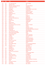| 2016       | 2015       | <b>Titel</b>                                       | <b>Artiest</b>                                  |
|------------|------------|----------------------------------------------------|-------------------------------------------------|
|            |            |                                                    |                                                 |
| 221        | 221        | Let's Talk About Sex                               | <b>SALT N PEPA</b>                              |
| 222        | 283        | <b>Sweetest Thing</b>                              | U <sub>2</sub>                                  |
| 223        | 223        | Why Don't You Dance With Me                        | <b>FUTURE BREEZE</b>                            |
| 224        | 132        | <b>Conquest Of Paradise</b>                        | <b>VANGELIS</b>                                 |
| 225        | 286        | C'est La Vie                                       | <b>B WITCHED</b>                                |
| 226        | 367        | No Diggity                                         | <b>BLACKSTREET and DR DRE</b>                   |
| 227        | 144        | Be My Lover                                        | <b>LA BOUCHE</b>                                |
| 228        | 234        | A Girl Like You                                    | <b>EDWYN COLLINS</b>                            |
| 229        | 248        | <b>Halloween</b>                                   | <b>DA BOY TOMMY</b>                             |
| 230        | 163        | <b>Weather With You</b>                            | <b>CROWDED HOUSE</b>                            |
| 231        | 170        | Zaterdag                                           | K.I.A.                                          |
| 232        | 285        | Joyride                                            | <b>ROXETTE</b>                                  |
| 233        | 227        | Move On Baby                                       | <b>CAPPELLA</b>                                 |
| 234        | 231        | <b>Too Much Love Will Kill You</b>                 | <b>BRIAN MAY</b>                                |
| 235        | 327        | <b>Red Alert</b>                                   | <b>BASEMENT JAXX</b>                            |
| 236        | 152        | <b>Wicked Game</b>                                 | <b>CHRIS ISAAK</b>                              |
| 237        | 232        | Feel It                                            | <b>TAMPERER</b>                                 |
| 238        | 262        | <b>Big Big World</b>                               | <b>EMILIA</b>                                   |
| 239<br>240 | 289<br>235 | Friday I'm In Love<br>Don't Need To Know Your Name | <b>CURE</b><br><b>MARISA TURNER</b>             |
| 241        | 266        | <b>Summer Son</b>                                  | <b>TEXAS</b>                                    |
| 242        | 281        | <b>Boombastic</b>                                  | <b>SHAGGY</b>                                   |
| 243        | 258        | <b>Desenchantee</b>                                | <b>MYLENE FARMER</b>                            |
| 244        | 203        | <b>Flying High</b>                                 | <b>CAPTAIN HOLLYWOOD PROJECT</b>                |
| 245        | 280        | I'll Stand By You                                  | <b>PRETENDERS</b>                               |
| 246        | 284        | Two Can Play That Game                             | <b>BOBBY BROWN</b>                              |
| 247        | 273        | Seven Days And One Week                            | B.B.E.                                          |
| 248        | 111        | Lieve Kleine Piranha                               | <b>GORKI</b>                                    |
| 249        | 198        | <b>Together Again</b>                              | <b>JANET JACKSON</b>                            |
| 250        | 308        | Lovefool                                           | <b>THE CARDIGANS</b>                            |
| 251        | 245        | <b>The Spirit</b>                                  | <b>FIOCCO</b>                                   |
| 252        | 342        | De Waarheid                                        | <b>MARCO BORSATO</b>                            |
| 253        | 303        | Mr. Jones                                          | <b>COUNTING CROWS</b>                           |
| 254        | 270        | <b>Return Of The Mack</b>                          | <b>MARK MORRISON</b>                            |
| 255        | 176        | <b>Con Te Partiro</b>                              | <b>ANDREA BOCELLI</b>                           |
| 256        | 187        | Get-A-Way                                          | <b>MAXX</b>                                     |
| 257        | 202        | <b>Shiny Happy People</b>                          | R E M and KATE PIERSON                          |
| 258        | 180        | <b>Like This</b>                                   | <b>TECHNOTRONIC</b>                             |
| 259        | 470        | <b>Beautiful Stranger</b>                          | <b>MADONNA</b>                                  |
| 260        |            | Hallelujah                                         | <b>JEFF BUCKLEY</b>                             |
| 261        | 250        | <b>Beautiful Life</b>                              | <b>ACE OF BASE</b>                              |
| 262        | 417        | All I Wanna Do                                     | <b>SHERYL CROW</b>                              |
| 263        | 157        | <b>Banger Hart</b>                                 | <b>ROB DE NIJS</b>                              |
| 264        | 355        | The First The Last Eternity                        | <b>SNAP</b>                                     |
| 265        | 292        | <b>High</b>                                        | <b>LIGHTHOUSE FAMILY</b>                        |
| 266        | 343        | No One                                             | <b>2 UNLIMITED</b>                              |
| 267        | 194        | <b>More Than Words</b>                             | <b>EXTREME</b>                                  |
| 268        | 252        | <b>Tell Me What It Takes</b>                       | <b>SOULSISTER</b>                               |
| 269        | 253        | One Way                                            | <b>LEVELLERS</b>                                |
| 270        | 282        | <b>Kennedy Boulevard</b>                           | <b>AXELLE RED</b>                               |
| 271        | 217        | <b>Missing</b>                                     | <b>EVERYTHING BUT THE GIRL</b>                  |
| 272<br>273 | 172<br>153 | Aïcha<br>The Key, The Secret                       | <b>KHALED</b><br><b>URBAN COOKIE COLLECTIVE</b> |
| 274        | 306        | Swentibold                                         | <b>CLOUSEAU</b>                                 |
| 275        | 301        | Men In Black                                       | <b>WILL SMITH</b>                               |
|            |            |                                                    |                                                 |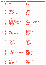| 2016       | 2015                | <b>Titel</b>                               | <b>Artiest</b>                         |
|------------|---------------------|--------------------------------------------|----------------------------------------|
|            |                     |                                            |                                        |
| 276        | 220                 | Wrong                                      | <b>NOVASTAR</b>                        |
| 277        | 200                 | Lilali                                     | <b>KIM 'KAY</b>                        |
| 278        | 297                 | 7 Seconds                                  | YOUSSOU N'DOUR and NENEH CHERRY        |
| 279        | 222                 | <b>Liefde Voor Muziek</b>                  | RAYMOND VAN HET GROENEWOUD             |
| 280        | 310                 | <b>Karma Police</b>                        | <b>RADIOHEAD</b>                       |
| 281        | 370                 | <b>California Love</b>                     | 2PAC and DR DRE                        |
| 282        | 189                 | <b>Keep The Faith</b>                      | <b>BON JOVI</b>                        |
| 283        | $\omega$            | If You Had My Love                         | <b>JENNIFER LOPEZ</b>                  |
| 284        | 206                 | Ik Hou Van U                               | <b>NOORDKAAP</b>                       |
| 285        | 330                 | Slam Dunk (Da Funk)                        | <b>FIVE</b>                            |
| 286        | $\bar{\phantom{a}}$ | <b>Sexy Mf</b>                             | <b>PRINCE</b>                          |
| 287        | 316                 | La Vache                                   | <b>MILK INC</b>                        |
| 288        | $\omega$            | Don't Look Back In Anger                   | <b>OASIS</b>                           |
| 289        | 403                 | The Boy Is Mine                            | <b>BRANDY and MONICA</b>               |
| 290        | 394                 | ledereen Is Van De Wereld                  | THE SCENE                              |
| 291        | 345                 | Last Thing On My Mind                      | <b>STEPS</b>                           |
| 292        | 159                 | Don't Let The Sun Go Down On Me            | <b>ELTON JOHN and GEORGE MICHAEL</b>   |
| 293        | 239                 | Dreams (Will Come Alive)                   | 2 BROTHERS ON THE 4th FLOOR            |
| 294        | 271                 | Alice, Who The Fuck Is Alice?              | <b>GOMPIE</b>                          |
| 295        | 212                 | <b>Think About The Way</b>                 | <b>ICE MC</b>                          |
| 296        | 387                 | Unbelievable                               | <b>EMF</b>                             |
| 297        | 214                 | <b>Saturday Night</b>                      | <b>WHIGFIELD</b>                       |
| 298        | 320                 | <b>No Scrubs</b>                           | <b>TLC</b>                             |
| 299        | 211                 | <b>She's The One</b>                       | <b>ROBBIE WILLIAMS</b>                 |
| 300        | 225                 | The Real Thing                             | <b>TONY Di BART</b>                    |
| 301        | 366                 | <b>Black Velvet</b>                        | <b>ALANNAH MYLES</b>                   |
| 302        | 193                 | 2 Times                                    | <b>ANN LEE</b>                         |
| 303        | 288                 | Wil Niet Dat Je Weggaat                    | <b>CLOUSEAU</b>                        |
| 304        | 265                 | <b>Cosmic Girl</b>                         | <b>JAMIROQUAI</b>                      |
| 305        | 329                 | <b>When You're Gone</b>                    | <b>BRYAN ADAMS &amp; MELANIE C</b>     |
| 306        | 302                 | The Launch<br>La Solitudine                | <b>DJ JEAN</b><br><b>LAURA PAUSINI</b> |
| 307<br>308 | 244<br>259          |                                            | PETER ANDRE                            |
| 309        | 216                 | <b>Mysterious Girl</b><br>No Matter What   | <b>BOYZONE</b>                         |
| 310        | $\omega$            | <b>Give It Away</b>                        | <b>RED HOT CHILI PEPPERS</b>           |
| 311        | 328                 | <b>Earth Song</b>                          | <b>MICHAEL JACKSON</b>                 |
| 312        |                     | <b>Open Your Eyes</b>                      | <b>NALIN &amp; KANE</b>                |
| 313        | 321                 | To Be With You                             | <b>MR BIG</b>                          |
| 314        | 357                 | Horny '98                                  | MOUSSE T and HOT 'N' JUICY             |
| 315        | 323                 | The Power Of Good-Bye                      | <b>MADONNA</b>                         |
| 316        | 312                 | <b>House Of Doom</b>                       | <b>NUNCA</b>                           |
| 317        | 249                 | Verdammt, Ich Lieb' Dich                   | <b>MATTHIAS REIM</b>                   |
| 318        | 332                 | <b>Free Your Mind</b>                      | <b>EN VOGUE</b>                        |
| 319        | 499                 | <b>Millennium</b>                          | <b>ROBBIE WILLIAMS</b>                 |
| 320        | 337                 | The Bomb! (These Sounds Fall Into My Mind) | <b>BUCKETHEADS</b>                     |
| 321        | 354                 | Goldeneye                                  | <b>TINA TURNER</b>                     |
| 322        | 349                 | Easy                                       | <b>FAITH NO MORE</b>                   |
| 323        | 468                 | <b>Strong Enough</b>                       | <b>CHER</b>                            |
| 324        |                     | Learn To Fly                               | <b>FOO FIGHTERS</b>                    |
| 325        | 219                 | <b>The Power</b>                           | <b>SNAP</b>                            |
| 326        | 360                 | It's Alright                               | EAST <sub>17</sub>                     |
| 327        |                     | <b>Sometimes</b>                           | <b>BRITNEY SPEARS</b>                  |
| 328        | 392                 | It Ain't Over 'Til It's Over               | <b>LENNY KRAVITZ</b>                   |
| 329        | 372                 | <b>Remember Me</b>                         | <b>BLUE BOY</b>                        |
| 330        | 313                 | <b>Je T'attends</b>                        | <b>AXELLE RED</b>                      |
|            |                     |                                            |                                        |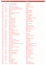| 2016       | 2015                     | <b>Titel</b>                                      | <b>Artiest</b>                          |
|------------|--------------------------|---------------------------------------------------|-----------------------------------------|
|            |                          |                                                   |                                         |
| 331        | 300                      | We're Going To Ibiza                              | <b>VENGABOYS</b>                        |
| 332        | $\blacksquare$           | <b>Jesus He Knows Me</b>                          | <b>GENESIS</b>                          |
| 333        | 274                      | Life                                              | <b>DES'REE</b>                          |
| 334        | 331                      | Se Bastasse Una Canzone                           | <b>EROS RAMAZZOTTI</b>                  |
| 335        | 438                      | I've Got A Little Something For You               | MN <sub>8</sub>                         |
| 336        | 382                      | The Most Beautiful Girl In The World              | <b>PRINCE</b>                           |
| 337        | 325                      | <b>Give It Up</b>                                 | THE GOODMEN                             |
| 338        | 374                      | Woman                                             | <b>NENEH CHERRY</b>                     |
| 339        | 230                      | Sweat (A La La La La Long)                        | <b>INNER CIRCLE</b>                     |
| 340        | $\omega$                 | <b>Black Eyed Boy</b>                             | <b>TEXAS</b>                            |
| 341        | 240                      | <b>Go West</b>                                    | PET SHOP BOYS                           |
| 342        | 333                      | Eden                                              | <b>HOOVERPHONIC</b>                     |
| 343        | 278                      | <b>Shy Guy</b>                                    | <b>DIANA KING</b>                       |
| 344        |                          | <b>Hey Boy Hey Girl</b>                           | THE CHEMICAL BROTHERS                   |
| 345        | 364                      | <b>Un-Break My Heart</b>                          | <b>TONI BRAXTON</b>                     |
| 346        | 263                      | Don't Give It Up                                  | <b>TOUCH OF JOY</b>                     |
| 347        | 335                      | Living On My Own                                  | <b>FREDDIE MERCURY</b>                  |
| 348        | 319                      | <b>Little Arithmetics</b>                         | <b>dEUS</b>                             |
| 349        | 396                      | The Sign                                          | <b>ACE OF BASE</b>                      |
| 350        | 385                      | It's Oh So Quiet                                  | <b>BJORK</b>                            |
| 351        | 421                      | We've Got It Goin' On                             | <b>BACKSTREET BOYS</b>                  |
| 352        | 334                      | Would I Lie To You?                               | <b>CHARLES and EDDIE</b>                |
| 353        | 395                      | <b>Infinity</b>                                   | <b>GURU JOSH</b>                        |
| 354        | $\overline{\phantom{a}}$ | <b>Bills Bills Bills</b>                          | <b>DESTINY'S CHILD</b>                  |
| 355        | 336                      | It Must Have Been Love                            | <b>ROXETTE</b>                          |
| 356        | 482                      | <b>Your Woman</b>                                 | <b>WHITE TOWN</b>                       |
| 357        | 373                      | <b>Mysterious Ways</b>                            | U <sub>2</sub>                          |
| 358        | 279                      | Music Sounds Better With You                      | <b>STARDUST</b>                         |
| 359        | 322                      | Mambo No. 5 (A Little Bit Of)                     | <b>LOU BEGA</b>                         |
| 360        | 169                      | Thank U                                           | <b>ALANIS MORISSETTE</b>                |
| 361        | 389                      | I Got 5 On It<br><b>Bailamos</b>                  | <b>LUNIZ</b><br><b>ENRIQUE IGLESIAS</b> |
| 362        | 461                      |                                                   | <b>CLOUSEAU</b>                         |
| 363<br>364 | 228<br>314               | Altijd Heb Ik Je Lief                             | <b>INI KAMOZE</b>                       |
| 365        | 347                      | <b>Here Comes The Hotstepper</b><br>Love Me Right | <b>ANGEL CITY</b>                       |
| 366        | 460                      | Come As You Are                                   | <b>NIRVANA</b>                          |
| 367        | 433                      | Senza Una Donna (Without A Woman)                 | <b>ZUCCHERO and PAUL YOUNG</b>          |
| 368        | 287                      | Coco Jamboo                                       | <b>MR PRESIDENT</b>                     |
| 369        | 420                      | Regulate                                          | <b>WARREN G &amp; NATE DOGG</b>         |
| 370        | 311                      | That Don't Impress Me Much                        | <b>SHANIA TWAIN</b>                     |
| 371        |                          | Innuendo                                          | <b>QUEEN</b>                            |
| 372        | 479                      | <b>History</b>                                    | <b>MICHAEL JACKSON</b>                  |
| 373        | 344                      | Fell In Love With An Alien                        | <b>KELLY FAMILY</b>                     |
| 374        | 352                      | <b>Too Funky</b>                                  | <b>GEORGE MICHAEL</b>                   |
| 375        | 483                      | <b>Everything About You</b>                       | <b>UGLY KID JOE</b>                     |
| 376        | 326                      | My Love Is Your Love                              | <b>WHITNEY HOUSTON</b>                  |
| 377        | $\blacksquare$           | Da Funk                                           | <b>DAFT PUNK</b>                        |
| 378        | 353                      | I Swear                                           | <b>ALL 4 ONE</b>                        |
| 379        | 390                      | <b>Maria</b>                                      | <b>BLONDIE</b>                          |
| 380        | 293                      | Poco Loco                                         | POCO LOCO GANG                          |
| 381        | 362                      | <b>Kiss From A Rose</b>                           | <b>SEAL</b>                             |
| 382        | 456                      | <b>How Bizarre</b>                                | <b>OMC</b>                              |
| 383        | $\blacksquare$           | All By Myself                                     | <b>CELINE DION</b>                      |
| 384        | 351                      | Ain't That Just The Way                           | <b>LUTRICIA McNEAL</b>                  |
| 385        | 418                      | The Funk Phenomena                                | <b>ARMAND VAN HELDEN</b>                |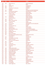| 2016       | 2015                     | <b>Titel</b>                                       | <b>Artiest</b>                      |
|------------|--------------------------|----------------------------------------------------|-------------------------------------|
|            |                          |                                                    |                                     |
| 386        | 186                      | <b>Waarom Nou Jij</b>                              | <b>MARCO BORSATO</b>                |
| 387        | $\blacksquare$           | Loser                                              | <b>BECK</b>                         |
| 388        | 241                      | <b>Twilight Zone</b>                               | <b>2 UNLIMITED</b>                  |
| 389        | 260                      | '74 - '75                                          | <b>CONNELLS</b>                     |
| 390        | 359                      | I Wanna Be The Only One                            | <b>ETERNAL</b>                      |
| 391        | $\omega$                 | <b>Disappear</b>                                   | <b>INXS</b>                         |
| 392        | 361                      | <b>Saltwater</b>                                   | <b>CHICANE and MAIRE BRENNAN</b>    |
| 393        | 411                      | Mo Money Mo Problems                               | <b>NOTORIOUS B.I.G. &amp; DIDDY</b> |
| 394        |                          | Say You'll Be There                                | <b>SPICE GIRLS</b>                  |
| 395        | 464                      | <b>Casser La Voix</b>                              | <b>PATRICK BRUEL</b>                |
| 396        |                          | <b>Could It Be Magic</b>                           | <b>TAKE THAT</b>                    |
| 397        | $\blacksquare$           | Intergalactic                                      | <b>BEASTIE BOYS</b>                 |
| 398        | 393                      | <b>Whoops Now</b>                                  | <b>JANET JACKSON</b>                |
| 399        | $\blacksquare$           | <b>Enjoy The Silence</b>                           | <b>DEPECHE MODE</b>                 |
| 400        | 304                      | Dub-I-Dub                                          | ME and MY                           |
| 401        | 295                      | Baby, I Love Your Way                              | <b>BIG MOUNTAIN</b>                 |
| 402        | 409                      | <b>You're Not Alone</b>                            | <b>OLIVE</b>                        |
| 403        | $\omega$                 | <b>Praise You</b>                                  | <b>FATBOY SLIM</b>                  |
| 404        | 428                      | Iron Lion Zion                                     | <b>BOB MARLEY and THE WAILERS</b>   |
| 405        | 324                      | <b>Sadeness</b>                                    | <b>ENIGMA</b>                       |
| 406        | 375                      | So In Love With You                                | <b>DUKE</b>                         |
| 407        | 247                      | 2 Become 1                                         | <b>SPICE GIRLS</b>                  |
| 408        | 307                      | <b>Better Off Alone</b>                            | <b>ALICE DEEJAY</b>                 |
| 409        | 238                      | Mmm Mmm Mmm Mmm                                    | <b>CRASH TEST DUMMIES</b>           |
| 410        | 407                      | Pump It Up!                                        | <b>BLACK and WHITE BROTHERS</b>     |
| 411        | 419                      | Sleeping In My Car                                 | <b>ROXETTE</b>                      |
| 412        | 384                      | <b>Oh Carolina</b>                                 | <b>SHAGGY</b>                       |
| 413        | 380                      | Man On The Moon                                    | <b>REM</b>                          |
| 414        | 491                      | <b>Quit Playing Games (With My Heart)</b>          | <b>BACKSTREET BOYS</b>              |
| 415        | $\blacksquare$           | Hi! My Name Is                                     | <b>EMINEM</b>                       |
| 416<br>417 | 294                      | <b>Think Twice</b>                                 | <b>CELINE DION</b>                  |
| 418        | 267<br>251               | The Rhythm Of The Night<br><b>Where's The Love</b> | <b>CORONA</b><br><b>HANSON</b>      |
| 419        | $\overline{\phantom{a}}$ | Don't Cry For Me Argentina                         | <b>MADONNA</b>                      |
| 420        | 381                      | Cantaloop                                          | <b>US3</b>                          |
| 421        | 412                      | Cryin'                                             | <b>AEROSMITH</b>                    |
| 422        | 261                      | <b>Losing Love</b>                                 | <b>MILK INC</b>                     |
| 423        | 410                      | The One And Only                                   | <b>CHESNEY HAWKES</b>               |
| 424        | 473                      | Fairground                                         | <b>SIMPLY RED</b>                   |
| 425        | $\blacksquare$           | Layla                                              | <b>ERIC CLAPTON</b>                 |
| 426        | 348                      | Jambo Jambo Jambo                                  | <b>RAGGA 2 SUNSHINE</b>             |
| 427        | 356                      | Ik Wil Vannacht Bij Je Slapen                      | <b>CLOUSEAU</b>                     |
| 428        | 459                      | It's Not Right, But It's Ok                        | <b>WHITNEY HOUSTON</b>              |
| 429        | 338                      | My Day Will Come                                   | <b>DINKY TOYS</b>                   |
| 430        | 492                      | <b>Waiting For Tonight</b>                         | <b>JENNIFER LOPEZ</b>               |
| 431        | 442                      | <b>Sleeping Satellite</b>                          | <b>TASMIN ARCHER</b>                |
| 432        | 243                      | Keep On Movin'                                     | <b>FIVE</b>                         |
| 433        | 424                      | I Believe I Can Fly                                | R. KELLY                            |
| 434        | 398                      | <b>Fastlove</b>                                    | <b>GEORGE MICHAEL</b>               |
| 435        | 296                      | The Reason Is You                                  | <b>NINA</b>                         |
| 436        | 242                      | <b>Please Forgive Me</b>                           | <b>BRYAN ADAMS</b>                  |
| 437        | 405                      | Connected                                          | <b>STEREO MC's</b>                  |
| 438        | 475                      | Be My Baby                                         | <b>VANESSA PARADIS</b>              |
| 439        | 467                      | If You Believe                                     | <b>SASHA</b>                        |
| 440        | 426                      | Gettin' Jiggy Wit It                               | <b>WILL SMITH</b>                   |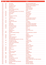| 2016 | 2015           | <b>Titel</b>                            | <b>Artiest</b>                         |
|------|----------------|-----------------------------------------|----------------------------------------|
|      |                |                                         |                                        |
| 441  | 430            | <b>Tom's Diner</b>                      | <b>DNA and SUZANNE VEGA</b>            |
| 442  | 401            | One And One                             | <b>ROBERT MILES &amp; MARIA NAYLER</b> |
| 443  | 427            | Love Shine A Light                      | <b>KATRINA and THE WAVES</b>           |
| 444  | 485            | Satelliet S.U.Z.Y                       | <b>NOORDKAAP</b>                       |
| 445  | 383            | <b>Turn Around</b>                      | <b>PHATS and SMALL</b>                 |
| 446  |                | That's The Way Love Goes                | <b>JANET JACKSON</b>                   |
| 447  | ä,             | <b>Girls And Boys</b>                   | <b>BLUR</b>                            |
| 448  | 346            | The Road Ahead (Miles Of The Unknown)   | <b>CITY TO CITY</b>                    |
| 449  | 376            | Libera L'anima                          | <b>JOVANOTTI</b>                       |
| 450  | 455            | <b>Hello World</b>                      | <b>BELLE PEREZ</b>                     |
| 451  | 400            | Free                                    | <b>ULTRA NATE</b>                      |
| 452  | 397            | This Ain't A Love Song                  | <b>BON JOVI</b>                        |
| 453  | $\omega$       | Fu-Gee-La                               | <b>FUGEES</b>                          |
| 454  | 425            | <b>Justified &amp; Ancient</b>          | <b>KLF and TAMMY WYNETTE</b>           |
| 455  | $\omega$       | <b>Stay</b>                             | <b>SHAKESPEAR'S SISTER</b>             |
| 456  | 413            | Let A Boy Cry                           | <b>GALA</b>                            |
| 457  | 414            | <b>Sweets For My Sweet</b>              | <b>CJ LEWIS</b>                        |
| 458  | 415            | II Volo                                 | <b>ZUCCHERO</b>                        |
| 459  | $\omega$       | <b>Whatta Man</b>                       | SALT N PEPA & EN VOGUE                 |
| 460  | 378            | <b>Step By Step</b>                     | <b>NEW KIDS ON THE BLOCK</b>           |
| 461  | 365            | <b>From Disco To Disco</b>              | <b>WHIRLPOOL PRODUCTIONS</b>           |
| 462  | 478            | <b>Listen To Your Heart</b>             | <b>ROXETTE</b>                         |
| 463  | 431            | <b>Got The Feelin'</b>                  | <b>FIVE</b>                            |
| 464  |                | <b>Just A Girl</b>                      | <b>NO DOUBT</b>                        |
| 465  | $\blacksquare$ | <b>Relight My Fire</b>                  | <b>TAKE THAT &amp; LULU</b>            |
| 466  | 379            | <b>Waterfalls</b>                       | <b>TLC</b>                             |
| 467  | 350            | Per Spoor (Kedeng, Kedeng)              | <b>GUUS MEEUWIS en VAGANT</b>          |
| 468  |                | Halo                                    | <b>TEXAS</b>                           |
| 469  | 434            | <b>Carnaval De Paris</b>                | <b>DARIO G</b>                         |
| 470  | 369            | <b>Strong</b>                           | <b>ROBBIE WILLIAMS</b>                 |
| 471  | 391            | <b>Deeper Underground</b>               | <b>JAMIROQUAI</b>                      |
| 472  | 447            | <b>Stay Another Day</b>                 | EAST <sub>17</sub>                     |
| 473  | ÷.             | The Shoop Shoop Song (It's In His Kiss) | <b>CHER</b>                            |
| 474  | 498            | <b>Get Ready For This</b>               | <b>2 UNLIMITED</b>                     |
| 475  | $\omega$       | If It Makes You Happy                   | <b>SHERYL CROW</b>                     |
| 476  | 495            | Things Can Only Get Better              | <b>D REAM</b>                          |
| 477  | ä,             | Suds & Soda                             | <b>DEUS</b>                            |
| 478  | 472            | Sensualité                              | <b>AXELLE RED</b>                      |
| 479  | $\blacksquare$ | This Is How We Do It                    | <b>MONTELL JORDAN</b>                  |
| 480  | 402            | Would You?                              | <b>TOUCH and GO</b>                    |
| 481  | 429            | Cream                                   | <b>PRINCE</b>                          |
| 482  | 441            | <b>Get Get Down</b>                     | <b>PAUL JOHNSON</b>                    |
| 483  | 257            | Anja                                    | <b>GORKI</b>                           |
| 484  | $\blacksquare$ | <b>Deeper And Deeper</b>                | <b>MADONNA</b>                         |
| 485  | 480            | <b>Brimful Of Asha</b>                  | <b>CORNERSHOP</b>                      |
| 486  | 449            | <b>Shine</b>                            | <b>ASWAD</b>                           |
| 487  | $\blacksquare$ | I Know Where It's At                    | <b>ALL SAINTS</b>                      |
| 488  | 454            | <b>Beachball</b>                        | <b>NALIN &amp; KANE</b>                |
| 489  | 493            | Geef Het Op                             | <b>CLOUSEAU</b>                        |
| 490  | 371            | As Long As You Love Me                  | <b>BACKSTREET BOYS</b>                 |
| 491  | ÷              | <b>Good Vibrations</b>                  | <b>MARKY MARK AND THE FUNKY BUNCH</b>  |
| 492  | 422            | You Don't Fool Me                       | <b>QUEEN</b>                           |
| 493  | 445            | Je Hoeft Niet Naar Huis Vannacht        | <b>MARCO BORSATO</b>                   |
| 494  | 439            | Waterfall                               | <b>ATLANTIC OCEAN</b>                  |
| 495  | ٠              | You Are Not Alone                       | <b>MICHAEL JACKSON</b>                 |